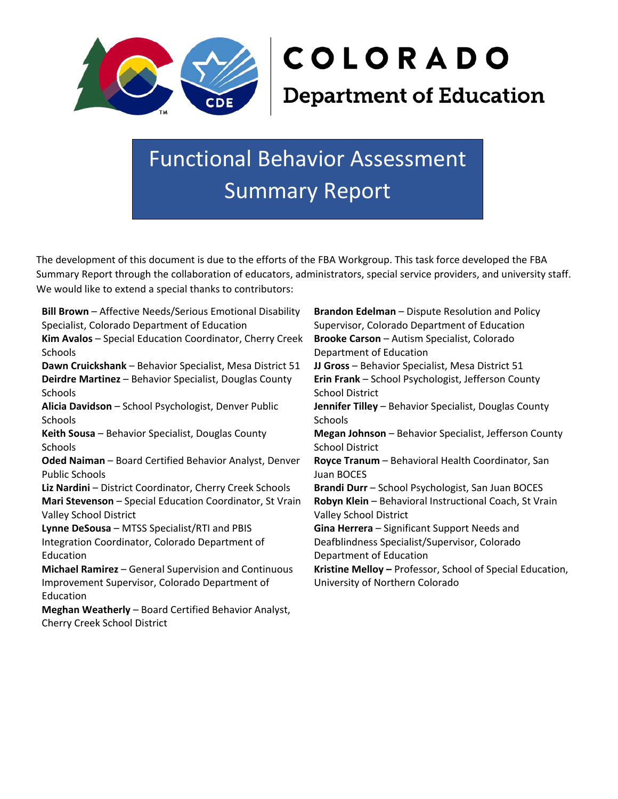

Functional Behavior Assessment Summary Report

The development of this document is due to the efforts of the FBA Workgroup. This task force developed the FBA Summary Report through the collaboration of educators, administrators, special service providers, and university staff. We would like to extend a special thanks to contributors:

**Bill Brown** – Affective Needs/Serious Emotional Disability Specialist, Colorado Department of Education **Kim Avalos** – Special Education Coordinator, Cherry Creek **Schools Dawn Cruickshank** – Behavior Specialist, Mesa District 51 **JJ Gross** – Behavior Specialist, Mesa District 51 **Deirdre Martinez** – Behavior Specialist, Douglas County Schools **Alicia Davidson** – School Psychologist, Denver Public **Schools Keith Sousa** – Behavior Specialist, Douglas County Schools **Oded Naiman** – Board Certified Behavior Analyst, Denver Public Schools **Liz Nardini** – District Coordinator, Cherry Creek Schools **Brandi Durr** – School Psychologist, San Juan BOCES **Mari Stevenson** – Special Education Coordinator, St Vrain Valley School District **Lynne DeSousa** – MTSS Specialist/RTI and PBIS Integration Coordinator, Colorado Department of Education **Michael Ramirez** – General Supervision and Continuous Improvement Supervisor, Colorado Department of Education **Meghan Weatherly** – Board Certified Behavior Analyst, Cherry Creek School District

**Brandon Edelman** – Dispute Resolution and Policy Supervisor, Colorado Department of Education **Brooke Carson** – Autism Specialist, Colorado Department of Education **Erin Frank** – School Psychologist, Jefferson County School District **Jennifer Tilley** – Behavior Specialist, Douglas County Schools **Megan Johnson** – Behavior Specialist, Jefferson County School District **Royce Tranum** – Behavioral Health Coordinator, San Juan BOCES **Robyn Klein** – Behavioral Instructional Coach, St Vrain Valley School District **Gina Herrera** – Significant Support Needs and Deafblindness Specialist/Supervisor, Colorado Department of Education **Kristine Melloy –** Professor, School of Special Education, University of Northern Colorado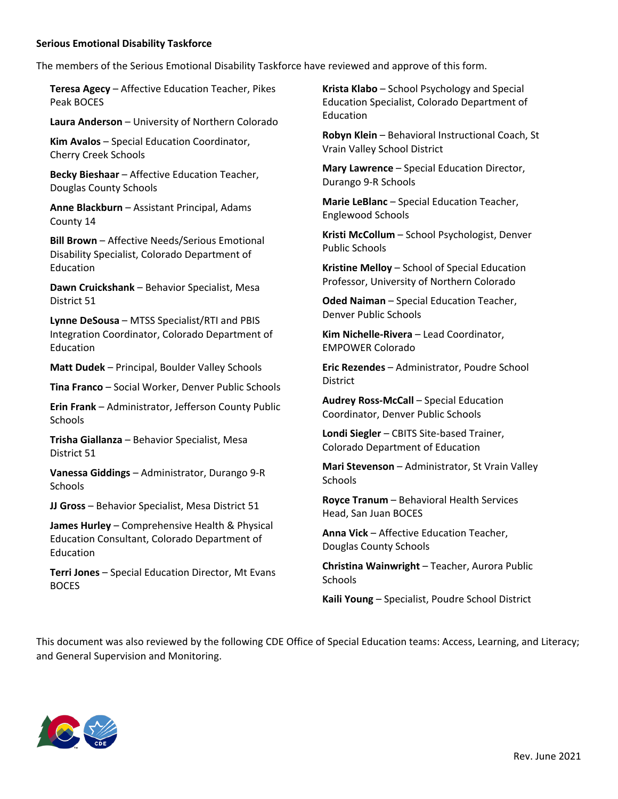## **Serious Emotional Disability Taskforce**

The members of the Serious Emotional Disability Taskforce have reviewed and approve of this form.

**Teresa Agecy** – Affective Education Teacher, Pikes Peak BOCES

**Laura Anderson** – University of Northern Colorado

**Kim Avalos** – Special Education Coordinator, Cherry Creek Schools

**Becky Bieshaar** – Affective Education Teacher, Douglas County Schools

**Anne Blackburn** – Assistant Principal, Adams County 14

**Bill Brown** – Affective Needs/Serious Emotional Disability Specialist, Colorado Department of Education

**Dawn Cruickshank** – Behavior Specialist, Mesa District 51

**Lynne DeSousa** – MTSS Specialist/RTI and PBIS Integration Coordinator, Colorado Department of Education

**Matt Dudek** – Principal, Boulder Valley Schools

**Tina Franco** – Social Worker, Denver Public Schools

**Erin Frank** – Administrator, Jefferson County Public **Schools** 

**Trisha Giallanza** – Behavior Specialist, Mesa District 51

**Vanessa Giddings** – Administrator, Durango 9-R Schools

**JJ Gross** – Behavior Specialist, Mesa District 51

**James Hurley** – Comprehensive Health & Physical Education Consultant, Colorado Department of Education

**Terri Jones** – Special Education Director, Mt Evans BOCES

**Krista Klabo** – School Psychology and Special Education Specialist, Colorado Department of Education

**Robyn Klein** – Behavioral Instructional Coach, St Vrain Valley School District

**Mary Lawrence** – Special Education Director, Durango 9-R Schools

**Marie LeBlanc** – Special Education Teacher, Englewood Schools

**Kristi McCollum** – School Psychologist, Denver Public Schools

**Kristine Melloy** – School of Special Education Professor, University of Northern Colorado

**Oded Naiman** – Special Education Teacher, Denver Public Schools

**Kim Nichelle-Rivera** – Lead Coordinator, EMPOWER Colorado

**Eric Rezendes** – Administrator, Poudre School **District** 

**Audrey Ross-McCall** – Special Education Coordinator, Denver Public Schools

**Londi Siegler** – CBITS Site-based Trainer, Colorado Department of Education

**Mari Stevenson** – Administrator, St Vrain Valley Schools

**Royce Tranum** – Behavioral Health Services Head, San Juan BOCES

**Anna Vick** – Affective Education Teacher, Douglas County Schools

**Christina Wainwright** – Teacher, Aurora Public **Schools** 

**Kaili Young** – Specialist, Poudre School District

This document was also reviewed by the following CDE Office of Special Education teams: Access, Learning, and Literacy; and General Supervision and Monitoring.

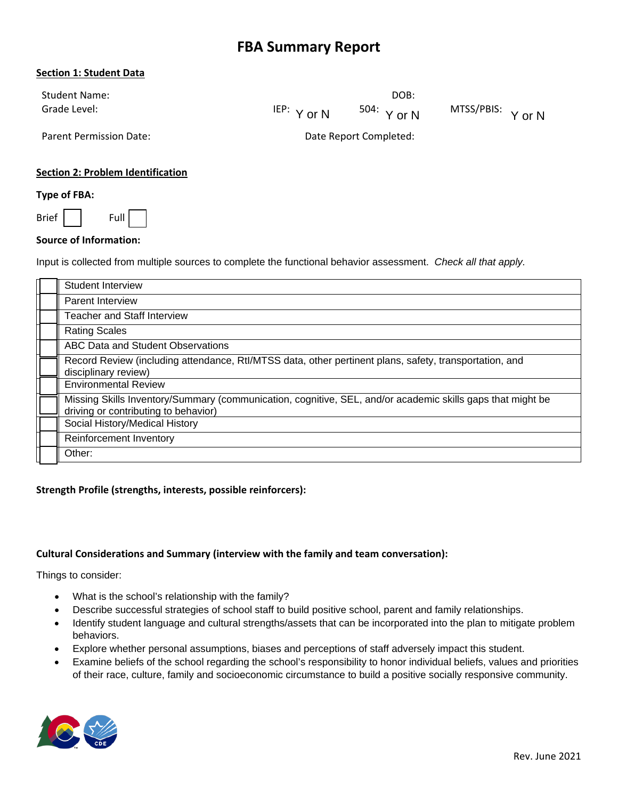# **FBA Summary Report**

## **Section 1: Student Data**

| <b>Student Name:</b> |                  | DOB:          |                   |
|----------------------|------------------|---------------|-------------------|
| Grade Level:         | $^{IEP:}$ Y or N | $504:$ Y or N | MTSS/PBIS: Y or N |

Parent Permission Date: Date Report Completed:

# **Section 2: Problem Identification**

#### **Type of FBA:**

Brief | Full

#### **Source of Information:**

Input is collected from multiple sources to complete the functional behavior assessment. *Check all that apply.*

| Student Interview                                                                                                                                  |
|----------------------------------------------------------------------------------------------------------------------------------------------------|
| <b>Parent Interview</b>                                                                                                                            |
| <b>Teacher and Staff Interview</b>                                                                                                                 |
| <b>Rating Scales</b>                                                                                                                               |
| ABC Data and Student Observations                                                                                                                  |
| Record Review (including attendance, RtI/MTSS data, other pertinent plans, safety, transportation, and<br>disciplinary review)                     |
| <b>Environmental Review</b>                                                                                                                        |
| Missing Skills Inventory/Summary (communication, cognitive, SEL, and/or academic skills gaps that might be<br>driving or contributing to behavior) |
| Social History/Medical History                                                                                                                     |
| Reinforcement Inventory                                                                                                                            |
| Other:                                                                                                                                             |

#### **Strength Profile (strengths, interests, possible reinforcers):**

#### **Cultural Considerations and Summary (interview with the family and team conversation):**

Things to consider:

- What is the school's relationship with the family?
- Describe successful strategies of school staff to build positive school, parent and family relationships.
- Identify student language and cultural strengths/assets that can be incorporated into the plan to mitigate problem behaviors.
- Explore whether personal assumptions, biases and perceptions of staff adversely impact this student.
- Examine beliefs of the school regarding the school's responsibility to honor individual beliefs, values and priorities of their race, culture, family and socioeconomic circumstance to build a positive socially responsive community.

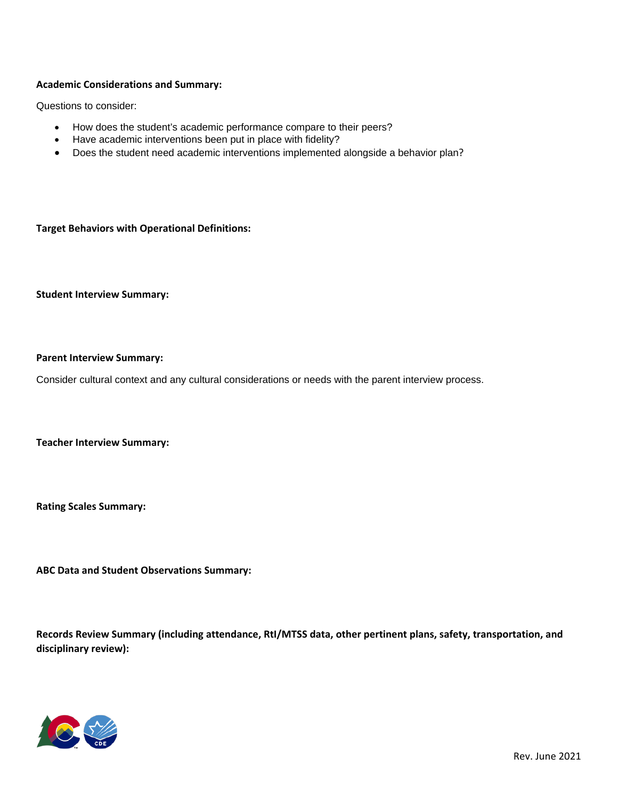## **Academic Considerations and Summary:**

Questions to consider:

- How does the student's academic performance compare to their peers?
- Have academic interventions been put in place with fidelity?
- Does the student need academic interventions implemented alongside a behavior plan?

**Target Behaviors with Operational Definitions:** 

**Student Interview Summary:** 

#### **Parent Interview Summary:**

Consider cultural context and any cultural considerations or needs with the parent interview process.

**Teacher Interview Summary:** 

**Rating Scales Summary:** 

**ABC Data and Student Observations Summary:** 

**Records Review Summary (including attendance, RtI/MTSS data, other pertinent plans, safety, transportation, and disciplinary review):** 

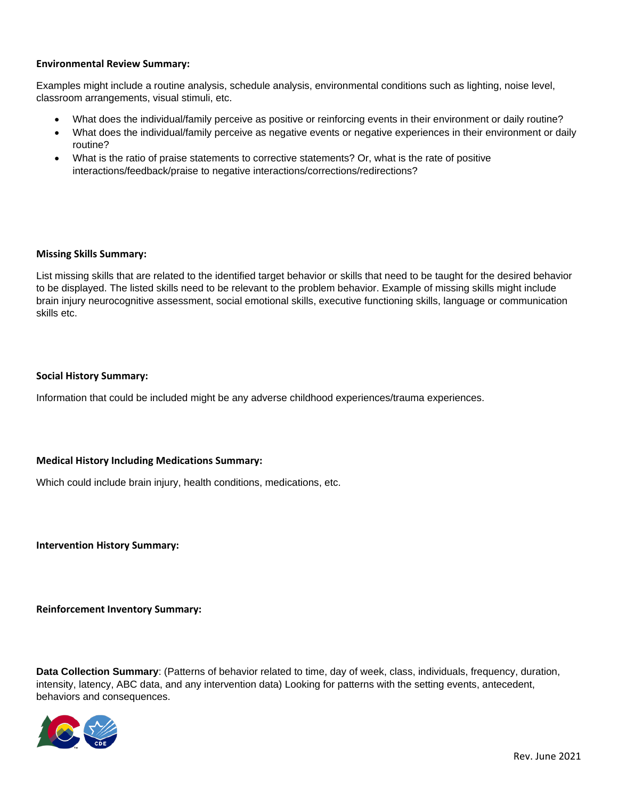## **Environmental Review Summary:**

Examples might include a routine analysis, schedule analysis, environmental conditions such as lighting, noise level, classroom arrangements, visual stimuli, etc.

- What does the individual/family perceive as positive or reinforcing events in their environment or daily routine?
- What does the individual/family perceive as negative events or negative experiences in their environment or daily routine?
- What is the ratio of praise statements to corrective statements? Or, what is the rate of positive interactions/feedback/praise to negative interactions/corrections/redirections?

#### **Missing Skills Summary:**

List missing skills that are related to the identified target behavior or skills that need to be taught for the desired behavior to be displayed. The listed skills need to be relevant to the problem behavior. Example of missing skills might include brain injury neurocognitive assessment, social emotional skills, executive functioning skills, language or communication skills etc.

## **Social History Summary:**

Information that could be included might be any adverse childhood experiences/trauma experiences.

## **Medical History Including Medications Summary:**

Which could include brain injury, health conditions, medications, etc.

**Intervention History Summary:** 

**Reinforcement Inventory Summary:**

**Data Collection Summary**: (Patterns of behavior related to time, day of week, class, individuals, frequency, duration, intensity, latency, ABC data, and any intervention data) Looking for patterns with the setting events, antecedent, behaviors and consequences.

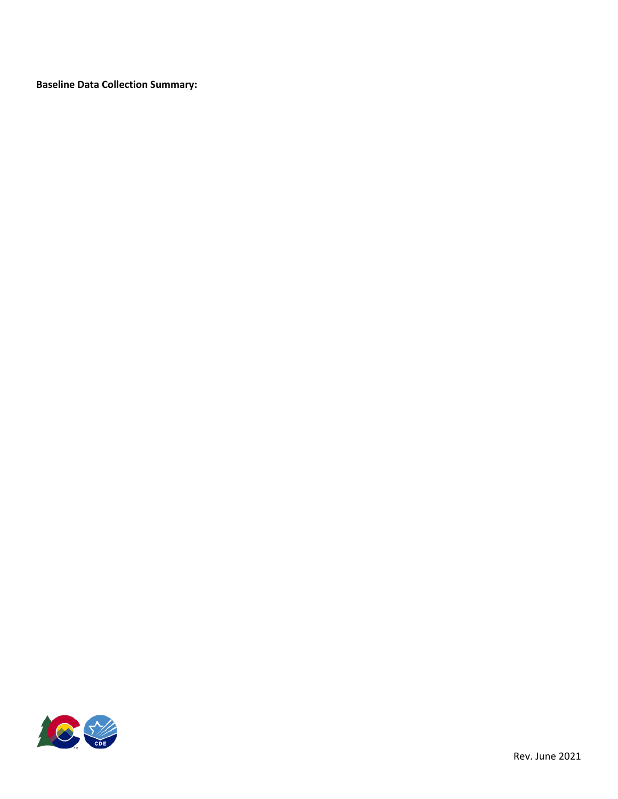**Baseline Data Collection Summary:** 

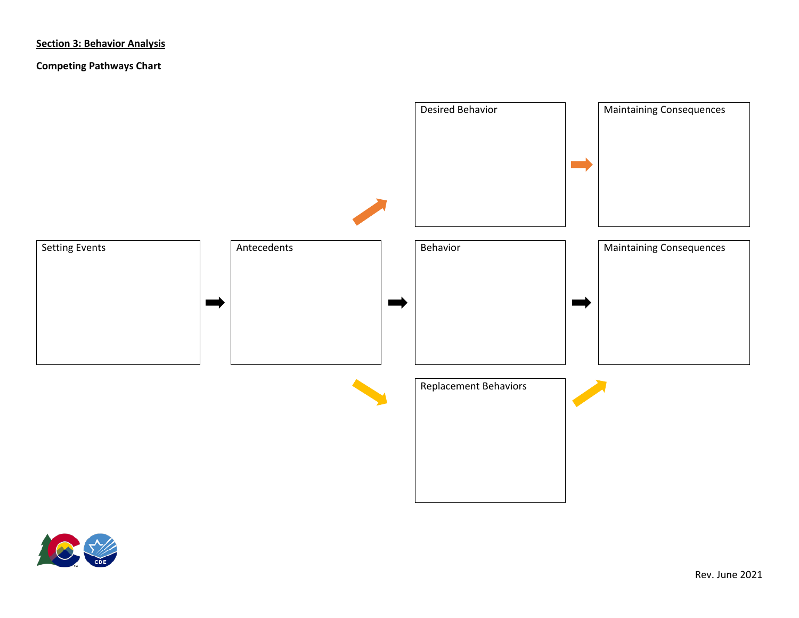# **Section 3: Behavior Analysis**

# **Competing Pathways Chart**